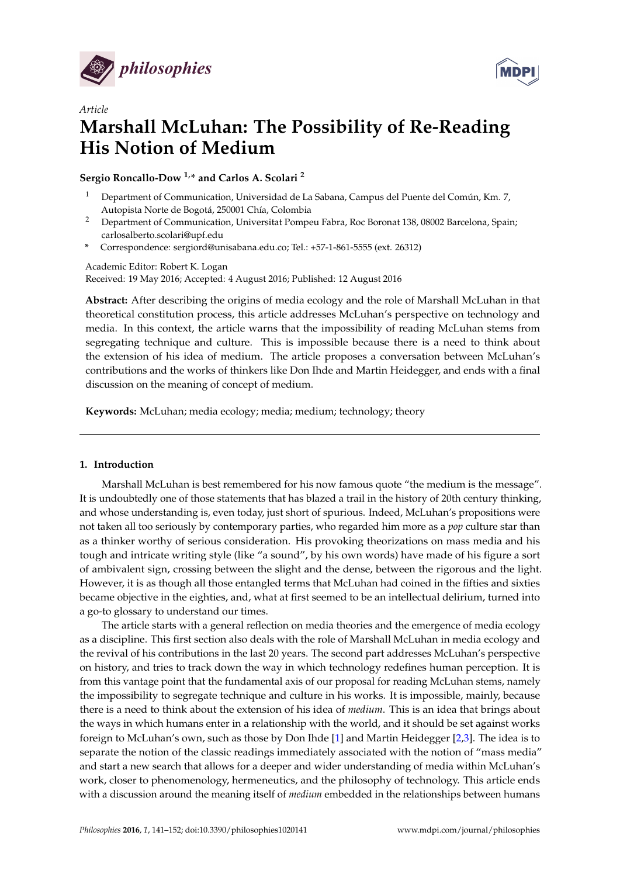



# *Article* **Marshall McLuhan: The Possibility of Re-Reading His Notion of Medium**

**Sergio Roncallo-Dow 1,\* and Carlos A. Scolari <sup>2</sup>**

- <sup>1</sup> Department of Communication, Universidad de La Sabana, Campus del Puente del Común, Km. 7, Autopista Norte de Bogotá, 250001 Chía, Colombia
- <sup>2</sup> Department of Communication, Universitat Pompeu Fabra, Roc Boronat 138, 08002 Barcelona, Spain; carlosalberto.scolari@upf.edu
- **\*** Correspondence: sergiord@unisabana.edu.co; Tel.: +57-1-861-5555 (ext. 26312)

Academic Editor: Robert K. Logan Received: 19 May 2016; Accepted: 4 August 2016; Published: 12 August 2016

**Abstract:** After describing the origins of media ecology and the role of Marshall McLuhan in that theoretical constitution process, this article addresses McLuhan's perspective on technology and media. In this context, the article warns that the impossibility of reading McLuhan stems from segregating technique and culture. This is impossible because there is a need to think about the extension of his idea of medium. The article proposes a conversation between McLuhan's contributions and the works of thinkers like Don Ihde and Martin Heidegger, and ends with a final discussion on the meaning of concept of medium.

**Keywords:** McLuhan; media ecology; media; medium; technology; theory

# **1. Introduction**

Marshall McLuhan is best remembered for his now famous quote "the medium is the message". It is undoubtedly one of those statements that has blazed a trail in the history of 20th century thinking, and whose understanding is, even today, just short of spurious. Indeed, McLuhan's propositions were not taken all too seriously by contemporary parties, who regarded him more as a *pop* culture star than as a thinker worthy of serious consideration. His provoking theorizations on mass media and his tough and intricate writing style (like "a sound", by his own words) have made of his figure a sort of ambivalent sign, crossing between the slight and the dense, between the rigorous and the light. However, it is as though all those entangled terms that McLuhan had coined in the fifties and sixties became objective in the eighties, and, what at first seemed to be an intellectual delirium, turned into a go-to glossary to understand our times.

The article starts with a general reflection on media theories and the emergence of media ecology as a discipline. This first section also deals with the role of Marshall McLuhan in media ecology and the revival of his contributions in the last 20 years. The second part addresses McLuhan's perspective on history, and tries to track down the way in which technology redefines human perception. It is from this vantage point that the fundamental axis of our proposal for reading McLuhan stems, namely the impossibility to segregate technique and culture in his works. It is impossible, mainly, because there is a need to think about the extension of his idea of *medium*. This is an idea that brings about the ways in which humans enter in a relationship with the world, and it should be set against works foreign to McLuhan's own, such as those by Don Ihde [\[1\]](#page-10-0) and Martin Heidegger [\[2,](#page-10-1)[3\]](#page-10-2). The idea is to separate the notion of the classic readings immediately associated with the notion of "mass media" and start a new search that allows for a deeper and wider understanding of media within McLuhan's work, closer to phenomenology, hermeneutics, and the philosophy of technology. This article ends with a discussion around the meaning itself of *medium* embedded in the relationships between humans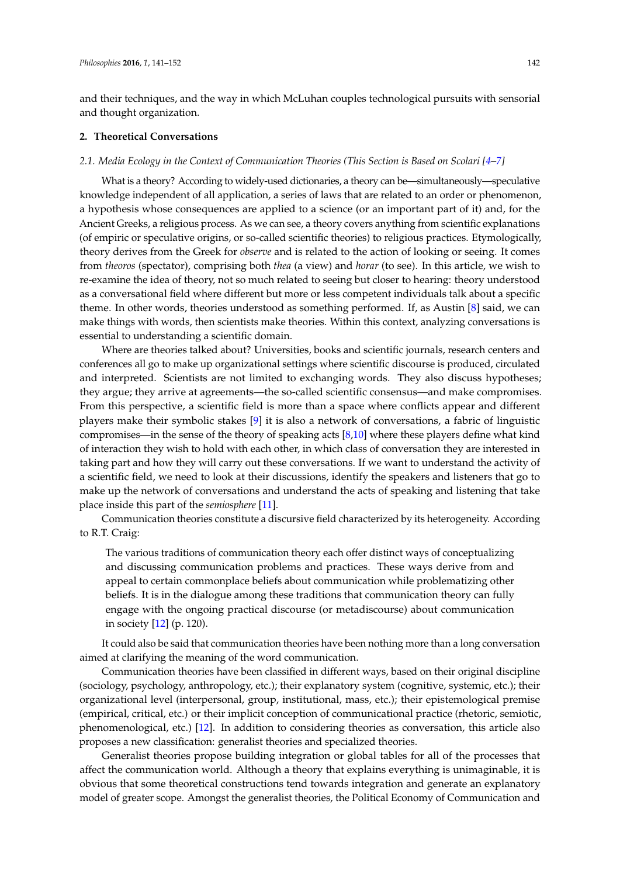and their techniques, and the way in which McLuhan couples technological pursuits with sensorial and thought organization.

#### **2. Theoretical Conversations**

## *2.1. Media Ecology in the Context of Communication Theories (This Section is Based on Scolari [\[4–](#page-10-3)[7\]](#page-10-4)*

What is a theory? According to widely-used dictionaries, a theory can be—simultaneously—speculative knowledge independent of all application, a series of laws that are related to an order or phenomenon, a hypothesis whose consequences are applied to a science (or an important part of it) and, for the Ancient Greeks, a religious process. As we can see, a theory covers anything from scientific explanations (of empiric or speculative origins, or so-called scientific theories) to religious practices. Etymologically, theory derives from the Greek for *observe* and is related to the action of looking or seeing. It comes from *theoros* (spectator), comprising both *thea* (a view) and *horar* (to see). In this article, we wish to re-examine the idea of theory, not so much related to seeing but closer to hearing: theory understood as a conversational field where different but more or less competent individuals talk about a specific theme. In other words, theories understood as something performed. If, as Austin [\[8\]](#page-10-5) said, we can make things with words, then scientists make theories. Within this context, analyzing conversations is essential to understanding a scientific domain.

Where are theories talked about? Universities, books and scientific journals, research centers and conferences all go to make up organizational settings where scientific discourse is produced, circulated and interpreted. Scientists are not limited to exchanging words. They also discuss hypotheses; they argue; they arrive at agreements—the so-called scientific consensus—and make compromises. From this perspective, a scientific field is more than a space where conflicts appear and different players make their symbolic stakes [\[9\]](#page-10-6) it is also a network of conversations, a fabric of linguistic compromises—in the sense of the theory of speaking acts [\[8](#page-10-5)[,10\]](#page-10-7) where these players define what kind of interaction they wish to hold with each other, in which class of conversation they are interested in taking part and how they will carry out these conversations. If we want to understand the activity of a scientific field, we need to look at their discussions, identify the speakers and listeners that go to make up the network of conversations and understand the acts of speaking and listening that take place inside this part of the *semiosphere* [\[11\]](#page-10-8).

Communication theories constitute a discursive field characterized by its heterogeneity. According to R.T. Craig:

The various traditions of communication theory each offer distinct ways of conceptualizing and discussing communication problems and practices. These ways derive from and appeal to certain commonplace beliefs about communication while problematizing other beliefs. It is in the dialogue among these traditions that communication theory can fully engage with the ongoing practical discourse (or metadiscourse) about communication in society [\[12\]](#page-10-9) (p. 120).

It could also be said that communication theories have been nothing more than a long conversation aimed at clarifying the meaning of the word communication.

Communication theories have been classified in different ways, based on their original discipline (sociology, psychology, anthropology, etc.); their explanatory system (cognitive, systemic, etc.); their organizational level (interpersonal, group, institutional, mass, etc.); their epistemological premise (empirical, critical, etc.) or their implicit conception of communicational practice (rhetoric, semiotic, phenomenological, etc.) [\[12\]](#page-10-9). In addition to considering theories as conversation, this article also proposes a new classification: generalist theories and specialized theories.

Generalist theories propose building integration or global tables for all of the processes that affect the communication world. Although a theory that explains everything is unimaginable, it is obvious that some theoretical constructions tend towards integration and generate an explanatory model of greater scope. Amongst the generalist theories, the Political Economy of Communication and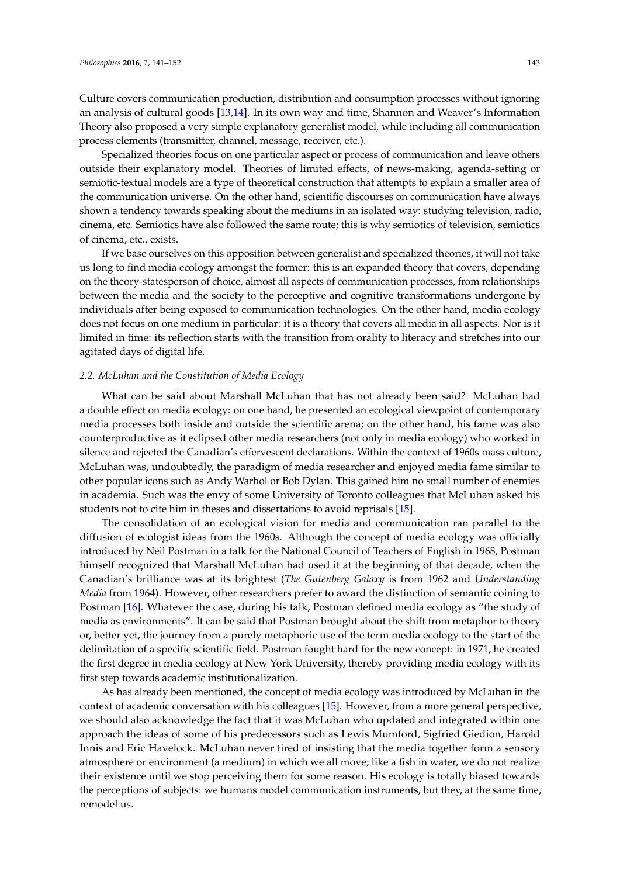Culture covers communication production, distribution and consumption processes without ignoring an analysis of cultural goods [\[13,](#page-10-10)[14\]](#page-10-11). In its own way and time, Shannon and Weaver's Information Theory also proposed a very simple explanatory generalist model, while including all communication process elements (transmitter, channel, message, receiver, etc.).

Specialized theories focus on one particular aspect or process of communication and leave others outside their explanatory model. Theories of limited effects, of news-making, agenda-setting or semiotic-textual models are a type of theoretical construction that attempts to explain a smaller area of the communication universe. On the other hand, scientific discourses on communication have always shown a tendency towards speaking about the mediums in an isolated way: studying television, radio, cinema, etc. Semiotics have also followed the same route; this is why semiotics of television, semiotics of cinema, etc., exists.

If we base ourselves on this opposition between generalist and specialized theories, it will not take us long to find media ecology amongst the former: this is an expanded theory that covers, depending on the theory-statesperson of choice, almost all aspects of communication processes, from relationships between the media and the society to the perceptive and cognitive transformations undergone by individuals after being exposed to communication technologies. On the other hand, media ecology does not focus on one medium in particular: it is a theory that covers all media in all aspects. Nor is it limited in time: its reflection starts with the transition from orality to literacy and stretches into our agitated days of digital life.

# *2.2. McLuhan and the Constitution of Media Ecology*

What can be said about Marshall McLuhan that has not already been said? McLuhan had a double effect on media ecology: on one hand, he presented an ecological viewpoint of contemporary media processes both inside and outside the scientific arena; on the other hand, his fame was also counterproductive as it eclipsed other media researchers (not only in media ecology) who worked in silence and rejected the Canadian's effervescent declarations. Within the context of 1960s mass culture, McLuhan was, undoubtedly, the paradigm of media researcher and enjoyed media fame similar to other popular icons such as Andy Warhol or Bob Dylan. This gained him no small number of enemies in academia. Such was the envy of some University of Toronto colleagues that McLuhan asked his students not to cite him in theses and dissertations to avoid reprisals [\[15\]](#page-10-12).

The consolidation of an ecological vision for media and communication ran parallel to the diffusion of ecologist ideas from the 1960s. Although the concept of media ecology was officially introduced by Neil Postman in a talk for the National Council of Teachers of English in 1968, Postman himself recognized that Marshall McLuhan had used it at the beginning of that decade, when the Canadian's brilliance was at its brightest (*The Gutenberg Galaxy* is from 1962 and *Understanding Media* from 1964). However, other researchers prefer to award the distinction of semantic coining to Postman [\[16\]](#page-10-13). Whatever the case, during his talk, Postman defined media ecology as "the study of media as environments". It can be said that Postman brought about the shift from metaphor to theory or, better yet, the journey from a purely metaphoric use of the term media ecology to the start of the delimitation of a specific scientific field. Postman fought hard for the new concept: in 1971, he created the first degree in media ecology at New York University, thereby providing media ecology with its first step towards academic institutionalization.

As has already been mentioned, the concept of media ecology was introduced by McLuhan in the context of academic conversation with his colleagues [\[15\]](#page-10-12). However, from a more general perspective, we should also acknowledge the fact that it was McLuhan who updated and integrated within one approach the ideas of some of his predecessors such as Lewis Mumford, Sigfried Giedion, Harold Innis and Eric Havelock. McLuhan never tired of insisting that the media together form a sensory atmosphere or environment (a medium) in which we all move; like a fish in water, we do not realize their existence until we stop perceiving them for some reason. His ecology is totally biased towards the perceptions of subjects: we humans model communication instruments, but they, at the same time, remodel us.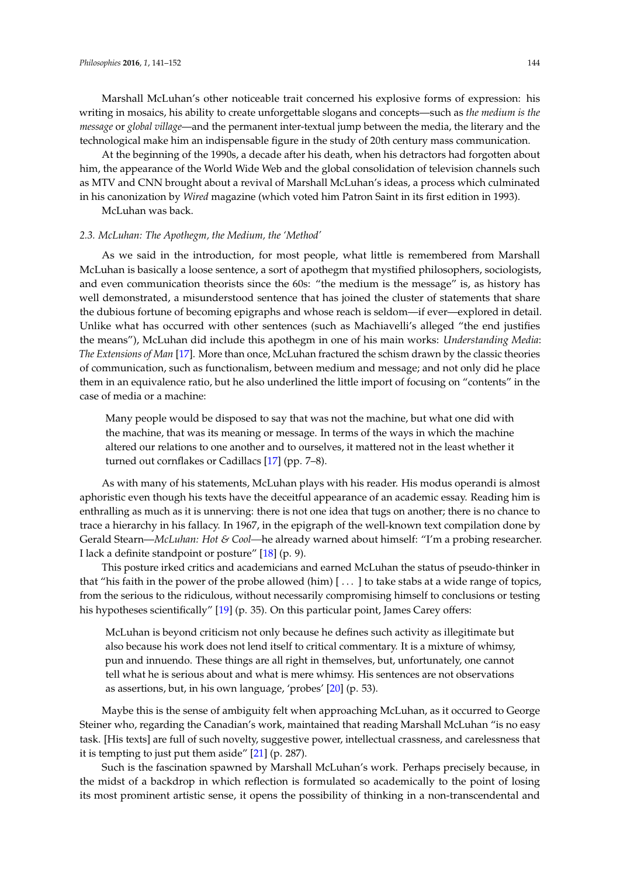Marshall McLuhan's other noticeable trait concerned his explosive forms of expression: his writing in mosaics, his ability to create unforgettable slogans and concepts—such as *the medium is the message* or *global village*—and the permanent inter-textual jump between the media, the literary and the technological make him an indispensable figure in the study of 20th century mass communication.

At the beginning of the 1990s, a decade after his death, when his detractors had forgotten about him, the appearance of the World Wide Web and the global consolidation of television channels such as MTV and CNN brought about a revival of Marshall McLuhan's ideas, a process which culminated in his canonization by *Wired* magazine (which voted him Patron Saint in its first edition in 1993).

McLuhan was back.

#### *2.3. McLuhan: The Apothegm, the Medium, the 'Method'*

As we said in the introduction, for most people, what little is remembered from Marshall McLuhan is basically a loose sentence, a sort of apothegm that mystified philosophers, sociologists, and even communication theorists since the 60s: "the medium is the message" is, as history has well demonstrated, a misunderstood sentence that has joined the cluster of statements that share the dubious fortune of becoming epigraphs and whose reach is seldom—if ever—explored in detail. Unlike what has occurred with other sentences (such as Machiavelli's alleged "the end justifies the means"), McLuhan did include this apothegm in one of his main works: *Understanding Media*: *The Extensions of Man* [\[17\]](#page-10-14). More than once, McLuhan fractured the schism drawn by the classic theories of communication, such as functionalism, between medium and message; and not only did he place them in an equivalence ratio, but he also underlined the little import of focusing on "contents" in the case of media or a machine:

Many people would be disposed to say that was not the machine, but what one did with the machine, that was its meaning or message. In terms of the ways in which the machine altered our relations to one another and to ourselves, it mattered not in the least whether it turned out cornflakes or Cadillacs [\[17\]](#page-10-14) (pp. 7–8).

As with many of his statements, McLuhan plays with his reader. His modus operandi is almost aphoristic even though his texts have the deceitful appearance of an academic essay. Reading him is enthralling as much as it is unnerving: there is not one idea that tugs on another; there is no chance to trace a hierarchy in his fallacy. In 1967, in the epigraph of the well-known text compilation done by Gerald Stearn—*McLuhan: Hot & Cool—*he already warned about himself: "I'm a probing researcher. I lack a definite standpoint or posture" [\[18\]](#page-10-15) (p. 9).

This posture irked critics and academicians and earned McLuhan the status of pseudo-thinker in that "his faith in the power of the probe allowed (him) [ . . . ] to take stabs at a wide range of topics, from the serious to the ridiculous, without necessarily compromising himself to conclusions or testing his hypotheses scientifically" [\[19\]](#page-10-16) (p. 35). On this particular point, James Carey offers:

McLuhan is beyond criticism not only because he defines such activity as illegitimate but also because his work does not lend itself to critical commentary. It is a mixture of whimsy, pun and innuendo. These things are all right in themselves, but, unfortunately, one cannot tell what he is serious about and what is mere whimsy. His sentences are not observations as assertions, but, in his own language, 'probes' [\[20\]](#page-10-17) (p. 53).

Maybe this is the sense of ambiguity felt when approaching McLuhan, as it occurred to George Steiner who, regarding the Canadian's work, maintained that reading Marshall McLuhan "is no easy task. [His texts] are full of such novelty, suggestive power, intellectual crassness, and carelessness that it is tempting to just put them aside" [\[21\]](#page-10-18) (p. 287).

Such is the fascination spawned by Marshall McLuhan's work. Perhaps precisely because, in the midst of a backdrop in which reflection is formulated so academically to the point of losing its most prominent artistic sense, it opens the possibility of thinking in a non-transcendental and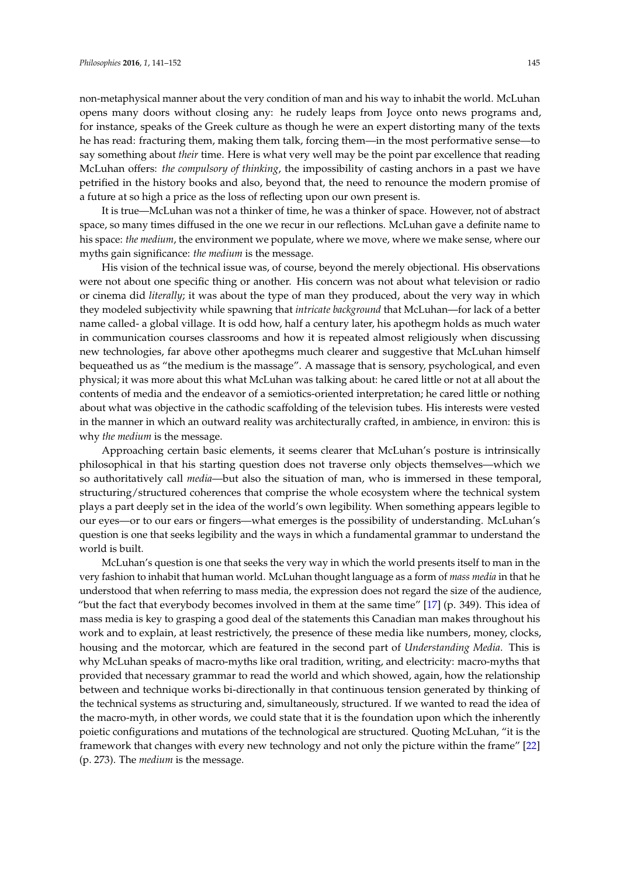non-metaphysical manner about the very condition of man and his way to inhabit the world. McLuhan opens many doors without closing any: he rudely leaps from Joyce onto news programs and, for instance, speaks of the Greek culture as though he were an expert distorting many of the texts he has read: fracturing them, making them talk, forcing them—in the most performative sense—to say something about *their* time. Here is what very well may be the point par excellence that reading McLuhan offers: *the compulsory of thinking*, the impossibility of casting anchors in a past we have petrified in the history books and also, beyond that, the need to renounce the modern promise of a future at so high a price as the loss of reflecting upon our own present is.

It is true—McLuhan was not a thinker of time, he was a thinker of space. However, not of abstract space, so many times diffused in the one we recur in our reflections. McLuhan gave a definite name to his space: *the medium*, the environment we populate, where we move, where we make sense, where our myths gain significance: *the medium* is the message.

His vision of the technical issue was, of course, beyond the merely objectional. His observations were not about one specific thing or another. His concern was not about what television or radio or cinema did *literally*; it was about the type of man they produced, about the very way in which they modeled subjectivity while spawning that *intricate background* that McLuhan—for lack of a better name called- a global village. It is odd how, half a century later, his apothegm holds as much water in communication courses classrooms and how it is repeated almost religiously when discussing new technologies, far above other apothegms much clearer and suggestive that McLuhan himself bequeathed us as "the medium is the massage". A massage that is sensory, psychological, and even physical; it was more about this what McLuhan was talking about: he cared little or not at all about the contents of media and the endeavor of a semiotics-oriented interpretation; he cared little or nothing about what was objective in the cathodic scaffolding of the television tubes. His interests were vested in the manner in which an outward reality was architecturally crafted, in ambience, in environ: this is why *the medium* is the message.

Approaching certain basic elements, it seems clearer that McLuhan's posture is intrinsically philosophical in that his starting question does not traverse only objects themselves—which we so authoritatively call *media*—but also the situation of man, who is immersed in these temporal, structuring/structured coherences that comprise the whole ecosystem where the technical system plays a part deeply set in the idea of the world's own legibility. When something appears legible to our eyes—or to our ears or fingers—what emerges is the possibility of understanding. McLuhan's question is one that seeks legibility and the ways in which a fundamental grammar to understand the world is built.

McLuhan's question is one that seeks the very way in which the world presents itself to man in the very fashion to inhabit that human world. McLuhan thought language as a form of *mass media* in that he understood that when referring to mass media, the expression does not regard the size of the audience, "but the fact that everybody becomes involved in them at the same time"  $[17]$  (p. 349). This idea of mass media is key to grasping a good deal of the statements this Canadian man makes throughout his work and to explain, at least restrictively, the presence of these media like numbers, money, clocks, housing and the motorcar, which are featured in the second part of *Understanding Media*. This is why McLuhan speaks of macro-myths like oral tradition, writing, and electricity: macro-myths that provided that necessary grammar to read the world and which showed, again, how the relationship between and technique works bi-directionally in that continuous tension generated by thinking of the technical systems as structuring and, simultaneously, structured. If we wanted to read the idea of the macro-myth, in other words, we could state that it is the foundation upon which the inherently poietic configurations and mutations of the technological are structured. Quoting McLuhan, "it is the framework that changes with every new technology and not only the picture within the frame" [\[22\]](#page-10-19) (p. 273). The *medium* is the message.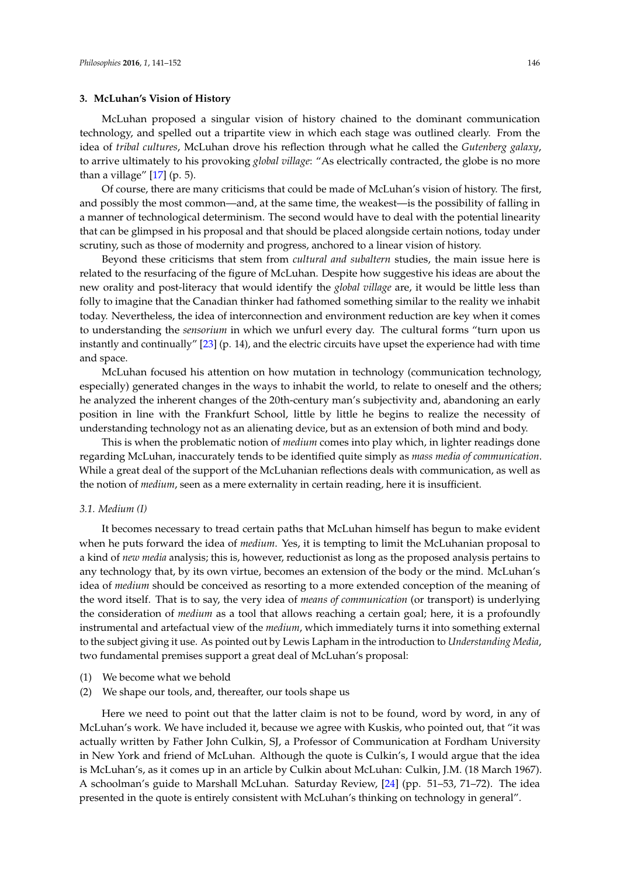# **3. McLuhan's Vision of History**

McLuhan proposed a singular vision of history chained to the dominant communication technology, and spelled out a tripartite view in which each stage was outlined clearly. From the idea of *tribal cultures*, McLuhan drove his reflection through what he called the *Gutenberg galaxy*, to arrive ultimately to his provoking *global village*: "As electrically contracted, the globe is no more than a village"  $[17]$  (p. 5).

Of course, there are many criticisms that could be made of McLuhan's vision of history. The first, and possibly the most common—and, at the same time, the weakest—is the possibility of falling in a manner of technological determinism. The second would have to deal with the potential linearity that can be glimpsed in his proposal and that should be placed alongside certain notions, today under scrutiny, such as those of modernity and progress, anchored to a linear vision of history.

Beyond these criticisms that stem from *cultural and subaltern* studies, the main issue here is related to the resurfacing of the figure of McLuhan. Despite how suggestive his ideas are about the new orality and post-literacy that would identify the *global village* are, it would be little less than folly to imagine that the Canadian thinker had fathomed something similar to the reality we inhabit today. Nevertheless, the idea of interconnection and environment reduction are key when it comes to understanding the *sensorium* in which we unfurl every day. The cultural forms "turn upon us instantly and continually" [\[23\]](#page-10-20) (p. 14), and the electric circuits have upset the experience had with time and space.

McLuhan focused his attention on how mutation in technology (communication technology, especially) generated changes in the ways to inhabit the world, to relate to oneself and the others; he analyzed the inherent changes of the 20th-century man's subjectivity and, abandoning an early position in line with the Frankfurt School, little by little he begins to realize the necessity of understanding technology not as an alienating device, but as an extension of both mind and body.

This is when the problematic notion of *medium* comes into play which, in lighter readings done regarding McLuhan, inaccurately tends to be identified quite simply as *mass media of communication*. While a great deal of the support of the McLuhanian reflections deals with communication, as well as the notion of *medium*, seen as a mere externality in certain reading, here it is insufficient.

#### *3.1. Medium (I)*

It becomes necessary to tread certain paths that McLuhan himself has begun to make evident when he puts forward the idea of *medium*. Yes, it is tempting to limit the McLuhanian proposal to a kind of *new media* analysis; this is, however, reductionist as long as the proposed analysis pertains to any technology that, by its own virtue, becomes an extension of the body or the mind. McLuhan's idea of *medium* should be conceived as resorting to a more extended conception of the meaning of the word itself. That is to say, the very idea of *means of communication* (or transport) is underlying the consideration of *medium* as a tool that allows reaching a certain goal; here, it is a profoundly instrumental and artefactual view of the *medium*, which immediately turns it into something external to the subject giving it use. As pointed out by Lewis Lapham in the introduction to *Understanding Media*, two fundamental premises support a great deal of McLuhan's proposal:

- (1) We become what we behold
- (2) We shape our tools, and, thereafter, our tools shape us

Here we need to point out that the latter claim is not to be found, word by word, in any of McLuhan's work. We have included it, because we agree with Kuskis, who pointed out, that "it was actually written by Father John Culkin, SJ, a Professor of Communication at Fordham University in New York and friend of McLuhan. Although the quote is Culkin's, I would argue that the idea is McLuhan's, as it comes up in an article by Culkin about McLuhan: Culkin, J.M. (18 March 1967). A schoolman's guide to Marshall McLuhan. Saturday Review, [\[24\]](#page-11-0) (pp. 51–53, 71–72). The idea presented in the quote is entirely consistent with McLuhan's thinking on technology in general".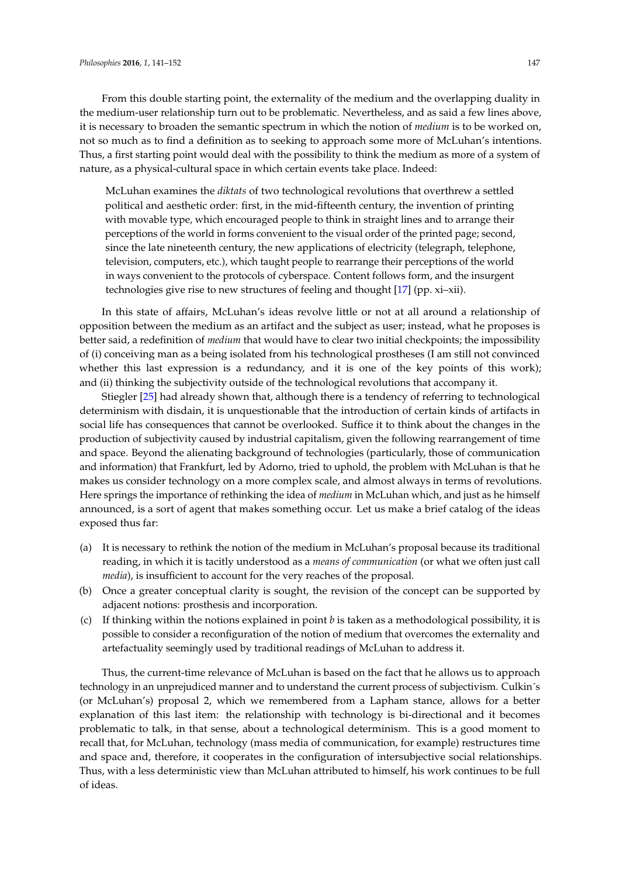From this double starting point, the externality of the medium and the overlapping duality in the medium-user relationship turn out to be problematic. Nevertheless, and as said a few lines above, it is necessary to broaden the semantic spectrum in which the notion of *medium* is to be worked on, not so much as to find a definition as to seeking to approach some more of McLuhan's intentions. Thus, a first starting point would deal with the possibility to think the medium as more of a system of nature, as a physical-cultural space in which certain events take place. Indeed:

McLuhan examines the *diktats* of two technological revolutions that overthrew a settled political and aesthetic order: first, in the mid-fifteenth century, the invention of printing with movable type, which encouraged people to think in straight lines and to arrange their perceptions of the world in forms convenient to the visual order of the printed page; second, since the late nineteenth century, the new applications of electricity (telegraph, telephone, television, computers, etc.), which taught people to rearrange their perceptions of the world in ways convenient to the protocols of cyberspace. Content follows form, and the insurgent technologies give rise to new structures of feeling and thought [\[17\]](#page-10-14) (pp. xi–xii).

In this state of affairs, McLuhan's ideas revolve little or not at all around a relationship of opposition between the medium as an artifact and the subject as user; instead, what he proposes is better said, a redefinition of *medium* that would have to clear two initial checkpoints; the impossibility of (i) conceiving man as a being isolated from his technological prostheses (I am still not convinced whether this last expression is a redundancy, and it is one of the key points of this work); and (ii) thinking the subjectivity outside of the technological revolutions that accompany it.

Stiegler [\[25\]](#page-11-1) had already shown that, although there is a tendency of referring to technological determinism with disdain, it is unquestionable that the introduction of certain kinds of artifacts in social life has consequences that cannot be overlooked. Suffice it to think about the changes in the production of subjectivity caused by industrial capitalism, given the following rearrangement of time and space. Beyond the alienating background of technologies (particularly, those of communication and information) that Frankfurt, led by Adorno, tried to uphold, the problem with McLuhan is that he makes us consider technology on a more complex scale, and almost always in terms of revolutions. Here springs the importance of rethinking the idea of *medium* in McLuhan which, and just as he himself announced, is a sort of agent that makes something occur. Let us make a brief catalog of the ideas exposed thus far:

- (a) It is necessary to rethink the notion of the medium in McLuhan's proposal because its traditional reading, in which it is tacitly understood as a *means of communication* (or what we often just call *media*), is insufficient to account for the very reaches of the proposal.
- (b) Once a greater conceptual clarity is sought, the revision of the concept can be supported by adjacent notions: prosthesis and incorporation.
- (c) If thinking within the notions explained in point *b* is taken as a methodological possibility, it is possible to consider a reconfiguration of the notion of medium that overcomes the externality and artefactuality seemingly used by traditional readings of McLuhan to address it.

Thus, the current-time relevance of McLuhan is based on the fact that he allows us to approach technology in an unprejudiced manner and to understand the current process of subjectivism. Culkin´s (or McLuhan's) proposal 2, which we remembered from a Lapham stance, allows for a better explanation of this last item: the relationship with technology is bi-directional and it becomes problematic to talk, in that sense, about a technological determinism. This is a good moment to recall that, for McLuhan, technology (mass media of communication, for example) restructures time and space and, therefore, it cooperates in the configuration of intersubjective social relationships. Thus, with a less deterministic view than McLuhan attributed to himself, his work continues to be full of ideas.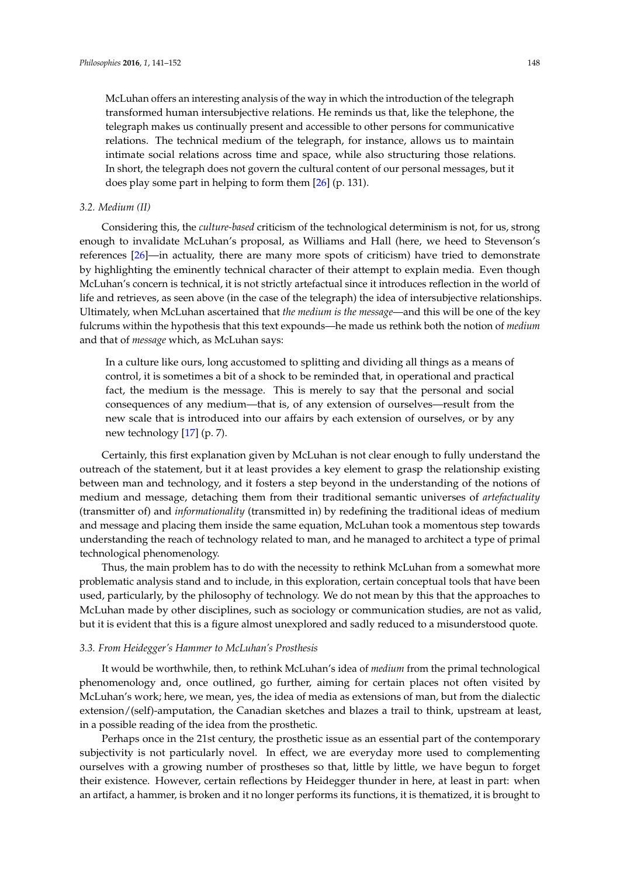McLuhan offers an interesting analysis of the way in which the introduction of the telegraph transformed human intersubjective relations. He reminds us that, like the telephone, the telegraph makes us continually present and accessible to other persons for communicative relations. The technical medium of the telegraph, for instance, allows us to maintain intimate social relations across time and space, while also structuring those relations. In short, the telegraph does not govern the cultural content of our personal messages, but it does play some part in helping to form them [\[26\]](#page-11-2) (p. 131).

# *3.2. Medium (II)*

Considering this, the *culture-based* criticism of the technological determinism is not, for us, strong enough to invalidate McLuhan's proposal, as Williams and Hall (here, we heed to Stevenson's references [\[26\]](#page-11-2)—in actuality, there are many more spots of criticism) have tried to demonstrate by highlighting the eminently technical character of their attempt to explain media. Even though McLuhan's concern is technical, it is not strictly artefactual since it introduces reflection in the world of life and retrieves, as seen above (in the case of the telegraph) the idea of intersubjective relationships. Ultimately, when McLuhan ascertained that *the medium is the message*—and this will be one of the key fulcrums within the hypothesis that this text expounds—he made us rethink both the notion of *medium* and that of *message* which, as McLuhan says:

In a culture like ours, long accustomed to splitting and dividing all things as a means of control, it is sometimes a bit of a shock to be reminded that, in operational and practical fact, the medium is the message. This is merely to say that the personal and social consequences of any medium—that is, of any extension of ourselves—result from the new scale that is introduced into our affairs by each extension of ourselves, or by any new technology [\[17\]](#page-10-14) (p. 7).

Certainly, this first explanation given by McLuhan is not clear enough to fully understand the outreach of the statement, but it at least provides a key element to grasp the relationship existing between man and technology, and it fosters a step beyond in the understanding of the notions of medium and message, detaching them from their traditional semantic universes of *artefactuality* (transmitter of) and *informationality* (transmitted in) by redefining the traditional ideas of medium and message and placing them inside the same equation, McLuhan took a momentous step towards understanding the reach of technology related to man, and he managed to architect a type of primal technological phenomenology.

Thus, the main problem has to do with the necessity to rethink McLuhan from a somewhat more problematic analysis stand and to include, in this exploration, certain conceptual tools that have been used, particularly, by the philosophy of technology. We do not mean by this that the approaches to McLuhan made by other disciplines, such as sociology or communication studies, are not as valid, but it is evident that this is a figure almost unexplored and sadly reduced to a misunderstood quote.

#### *3.3. From Heidegger's Hammer to McLuhan's Prosthesis*

It would be worthwhile, then, to rethink McLuhan's idea of *medium* from the primal technological phenomenology and, once outlined, go further, aiming for certain places not often visited by McLuhan's work; here, we mean, yes, the idea of media as extensions of man, but from the dialectic extension/(self)-amputation, the Canadian sketches and blazes a trail to think, upstream at least, in a possible reading of the idea from the prosthetic.

Perhaps once in the 21st century, the prosthetic issue as an essential part of the contemporary subjectivity is not particularly novel. In effect, we are everyday more used to complementing ourselves with a growing number of prostheses so that, little by little, we have begun to forget their existence. However, certain reflections by Heidegger thunder in here, at least in part: when an artifact, a hammer, is broken and it no longer performs its functions, it is thematized, it is brought to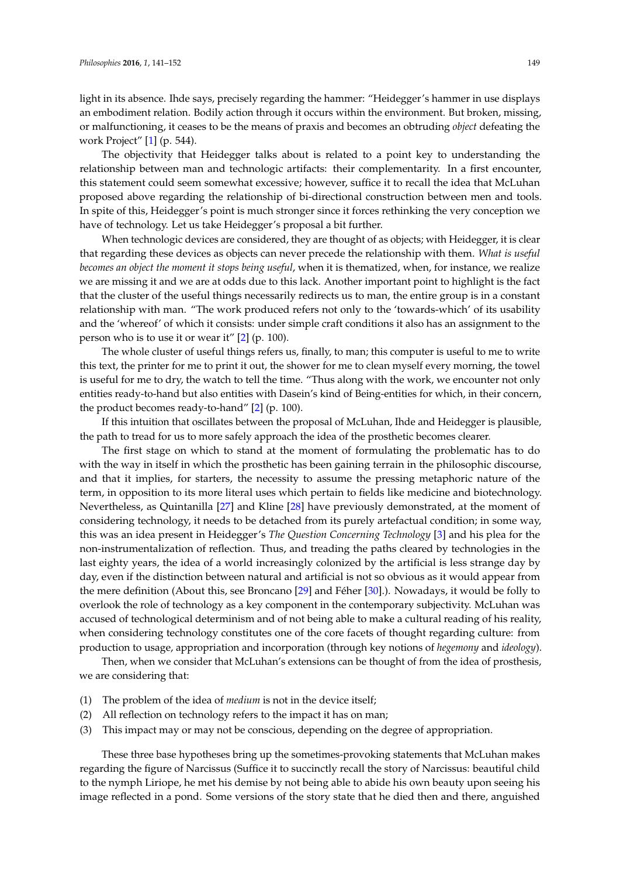light in its absence. Ihde says, precisely regarding the hammer: "Heidegger's hammer in use displays an embodiment relation. Bodily action through it occurs within the environment. But broken, missing, or malfunctioning, it ceases to be the means of praxis and becomes an obtruding *object* defeating the work Project" [\[1\]](#page-10-0) (p. 544).

The objectivity that Heidegger talks about is related to a point key to understanding the relationship between man and technologic artifacts: their complementarity. In a first encounter, this statement could seem somewhat excessive; however, suffice it to recall the idea that McLuhan proposed above regarding the relationship of bi-directional construction between men and tools. In spite of this, Heidegger's point is much stronger since it forces rethinking the very conception we have of technology. Let us take Heidegger's proposal a bit further.

When technologic devices are considered, they are thought of as objects; with Heidegger, it is clear that regarding these devices as objects can never precede the relationship with them. *What is useful becomes an object the moment it stops being useful*, when it is thematized, when, for instance, we realize we are missing it and we are at odds due to this lack. Another important point to highlight is the fact that the cluster of the useful things necessarily redirects us to man, the entire group is in a constant relationship with man. "The work produced refers not only to the 'towards-which' of its usability and the 'whereof' of which it consists: under simple craft conditions it also has an assignment to the person who is to use it or wear it" [\[2\]](#page-10-1) (p. 100).

The whole cluster of useful things refers us, finally, to man; this computer is useful to me to write this text, the printer for me to print it out, the shower for me to clean myself every morning, the towel is useful for me to dry, the watch to tell the time. "Thus along with the work, we encounter not only entities ready-to-hand but also entities with Dasein's kind of Being-entities for which, in their concern, the product becomes ready-to-hand" [\[2\]](#page-10-1) (p. 100).

If this intuition that oscillates between the proposal of McLuhan, Ihde and Heidegger is plausible, the path to tread for us to more safely approach the idea of the prosthetic becomes clearer.

The first stage on which to stand at the moment of formulating the problematic has to do with the way in itself in which the prosthetic has been gaining terrain in the philosophic discourse, and that it implies, for starters, the necessity to assume the pressing metaphoric nature of the term, in opposition to its more literal uses which pertain to fields like medicine and biotechnology. Nevertheless, as Quintanilla [\[27\]](#page-11-3) and Kline [\[28\]](#page-11-4) have previously demonstrated, at the moment of considering technology, it needs to be detached from its purely artefactual condition; in some way, this was an idea present in Heidegger's *The Question Concerning Technology* [\[3\]](#page-10-2) and his plea for the non-instrumentalization of reflection. Thus, and treading the paths cleared by technologies in the last eighty years, the idea of a world increasingly colonized by the artificial is less strange day by day, even if the distinction between natural and artificial is not so obvious as it would appear from the mere definition (About this, see Broncano [\[29\]](#page-11-5) and Féher [\[30\]](#page-11-6).). Nowadays, it would be folly to overlook the role of technology as a key component in the contemporary subjectivity. McLuhan was accused of technological determinism and of not being able to make a cultural reading of his reality, when considering technology constitutes one of the core facets of thought regarding culture: from production to usage, appropriation and incorporation (through key notions of *hegemony* and *ideology*).

Then, when we consider that McLuhan's extensions can be thought of from the idea of prosthesis, we are considering that:

- (1) The problem of the idea of *medium* is not in the device itself;
- (2) All reflection on technology refers to the impact it has on man;
- (3) This impact may or may not be conscious, depending on the degree of appropriation.

These three base hypotheses bring up the sometimes-provoking statements that McLuhan makes regarding the figure of Narcissus (Suffice it to succinctly recall the story of Narcissus: beautiful child to the nymph Liriope, he met his demise by not being able to abide his own beauty upon seeing his image reflected in a pond. Some versions of the story state that he died then and there, anguished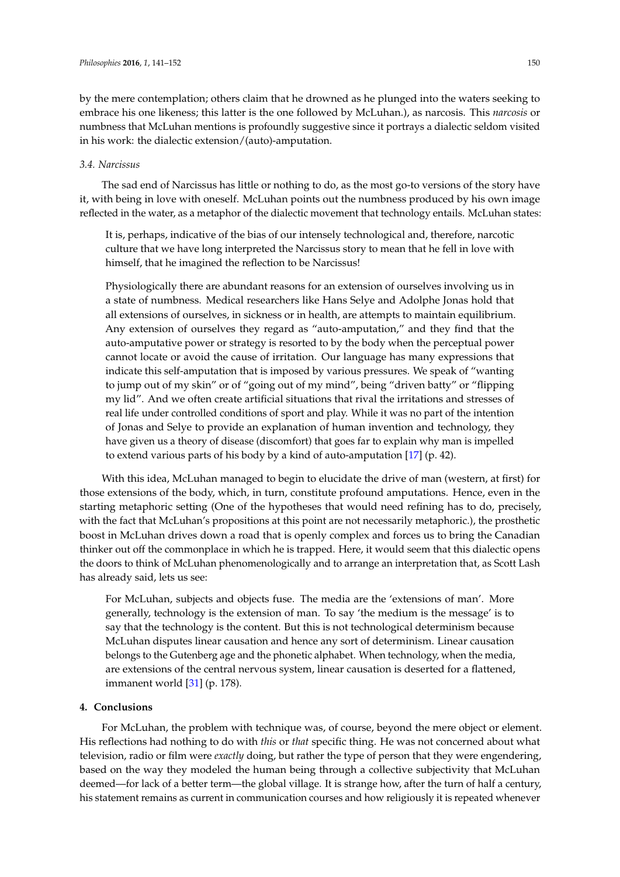by the mere contemplation; others claim that he drowned as he plunged into the waters seeking to embrace his one likeness; this latter is the one followed by McLuhan.), as narcosis. This *narcosis* or numbness that McLuhan mentions is profoundly suggestive since it portrays a dialectic seldom visited in his work: the dialectic extension/(auto)-amputation.

## *3.4. Narcissus*

The sad end of Narcissus has little or nothing to do, as the most go-to versions of the story have it, with being in love with oneself. McLuhan points out the numbness produced by his own image reflected in the water, as a metaphor of the dialectic movement that technology entails. McLuhan states:

It is, perhaps, indicative of the bias of our intensely technological and, therefore, narcotic culture that we have long interpreted the Narcissus story to mean that he fell in love with himself, that he imagined the reflection to be Narcissus!

Physiologically there are abundant reasons for an extension of ourselves involving us in a state of numbness. Medical researchers like Hans Selye and Adolphe Jonas hold that all extensions of ourselves, in sickness or in health, are attempts to maintain equilibrium. Any extension of ourselves they regard as "auto-amputation," and they find that the auto-amputative power or strategy is resorted to by the body when the perceptual power cannot locate or avoid the cause of irritation. Our language has many expressions that indicate this self-amputation that is imposed by various pressures. We speak of "wanting to jump out of my skin" or of "going out of my mind", being "driven batty" or "flipping my lid". And we often create artificial situations that rival the irritations and stresses of real life under controlled conditions of sport and play. While it was no part of the intention of Jonas and Selye to provide an explanation of human invention and technology, they have given us a theory of disease (discomfort) that goes far to explain why man is impelled to extend various parts of his body by a kind of auto-amputation [\[17\]](#page-10-14) (p. 42).

With this idea, McLuhan managed to begin to elucidate the drive of man (western, at first) for those extensions of the body, which, in turn, constitute profound amputations. Hence, even in the starting metaphoric setting (One of the hypotheses that would need refining has to do, precisely, with the fact that McLuhan's propositions at this point are not necessarily metaphoric.), the prosthetic boost in McLuhan drives down a road that is openly complex and forces us to bring the Canadian thinker out off the commonplace in which he is trapped. Here, it would seem that this dialectic opens the doors to think of McLuhan phenomenologically and to arrange an interpretation that, as Scott Lash has already said, lets us see:

For McLuhan, subjects and objects fuse. The media are the 'extensions of man'. More generally, technology is the extension of man. To say 'the medium is the message' is to say that the technology is the content. But this is not technological determinism because McLuhan disputes linear causation and hence any sort of determinism. Linear causation belongs to the Gutenberg age and the phonetic alphabet. When technology, when the media, are extensions of the central nervous system, linear causation is deserted for a flattened, immanent world [\[31\]](#page-11-7) (p. 178).

## **4. Conclusions**

For McLuhan, the problem with technique was, of course, beyond the mere object or element. His reflections had nothing to do with *this* or *that* specific thing. He was not concerned about what television, radio or film were *exactly* doing, but rather the type of person that they were engendering, based on the way they modeled the human being through a collective subjectivity that McLuhan deemed—for lack of a better term—the global village. It is strange how, after the turn of half a century, his statement remains as current in communication courses and how religiously it is repeated whenever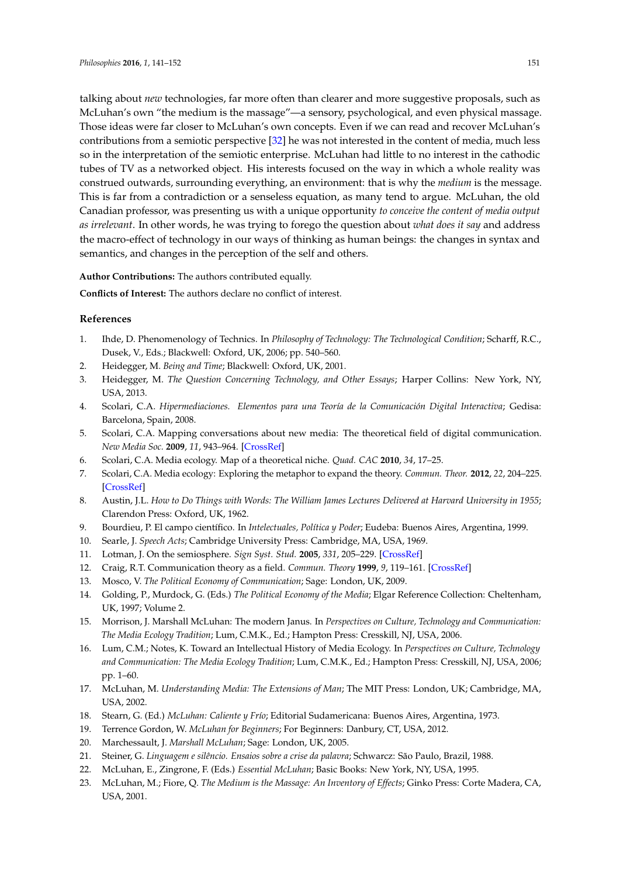talking about *new* technologies, far more often than clearer and more suggestive proposals, such as McLuhan's own "the medium is the massage"—a sensory, psychological, and even physical massage. Those ideas were far closer to McLuhan's own concepts. Even if we can read and recover McLuhan's contributions from a semiotic perspective [\[32\]](#page-11-8) he was not interested in the content of media, much less so in the interpretation of the semiotic enterprise. McLuhan had little to no interest in the cathodic tubes of TV as a networked object. His interests focused on the way in which a whole reality was construed outwards, surrounding everything, an environment: that is why the *medium* is the message. This is far from a contradiction or a senseless equation, as many tend to argue. McLuhan, the old Canadian professor, was presenting us with a unique opportunity *to conceive the content of media output as irrelevant*. In other words, he was trying to forego the question about *what does it say* and address the macro-effect of technology in our ways of thinking as human beings: the changes in syntax and semantics, and changes in the perception of the self and others.

**Author Contributions:** The authors contributed equally.

**Conflicts of Interest:** The authors declare no conflict of interest.

# **References**

- <span id="page-10-0"></span>1. Ihde, D. Phenomenology of Technics. In *Philosophy of Technology: The Technological Condition*; Scharff, R.C., Dusek, V., Eds.; Blackwell: Oxford, UK, 2006; pp. 540–560.
- <span id="page-10-1"></span>2. Heidegger, M. *Being and Time*; Blackwell: Oxford, UK, 2001.
- <span id="page-10-2"></span>3. Heidegger, M. *The Question Concerning Technology, and Other Essays*; Harper Collins: New York, NY, USA, 2013.
- <span id="page-10-3"></span>4. Scolari, C.A. *Hipermediaciones. Elementos para una Teoría de la Comunicación Digital Interactiva*; Gedisa: Barcelona, Spain, 2008.
- 5. Scolari, C.A. Mapping conversations about new media: The theoretical field of digital communication. *New Media Soc.* **2009**, *11*, 943–964. [\[CrossRef\]](http://dx.doi.org/10.1177/1461444809336513)
- 6. Scolari, C.A. Media ecology. Map of a theoretical niche. *Quad. CAC* **2010**, *34*, 17–25.
- <span id="page-10-4"></span>7. Scolari, C.A. Media ecology: Exploring the metaphor to expand the theory. *Commun. Theor.* **2012**, *22*, 204–225. [\[CrossRef\]](http://dx.doi.org/10.1111/j.1468-2885.2012.01404.x)
- <span id="page-10-5"></span>8. Austin, J.L. *How to Do Things with Words: The William James Lectures Delivered at Harvard University in 1955*; Clarendon Press: Oxford, UK, 1962.
- <span id="page-10-6"></span>9. Bourdieu, P. El campo científico. In *Intelectuales, Política y Poder*; Eudeba: Buenos Aires, Argentina, 1999.
- <span id="page-10-7"></span>10. Searle, J. *Speech Acts*; Cambridge University Press: Cambridge, MA, USA, 1969.
- <span id="page-10-8"></span>11. Lotman, J. On the semiosphere. *Sign Syst. Stud.* **2005**, *331*, 205–229. [\[CrossRef\]](http://dx.doi.org/10.2753/RPO1061-0405270140)
- <span id="page-10-9"></span>12. Craig, R.T. Communication theory as a field. *Commun. Theory* **1999**, *9*, 119–161. [\[CrossRef\]](http://dx.doi.org/10.1111/j.1468-2885.1999.tb00355.x)
- <span id="page-10-10"></span>13. Mosco, V. *The Political Economy of Communication*; Sage: London, UK, 2009.
- <span id="page-10-11"></span>14. Golding, P., Murdock, G. (Eds.) *The Political Economy of the Media*; Elgar Reference Collection: Cheltenham, UK, 1997; Volume 2.
- <span id="page-10-12"></span>15. Morrison, J. Marshall McLuhan: The modern Janus. In *Perspectives on Culture, Technology and Communication: The Media Ecology Tradition*; Lum, C.M.K., Ed.; Hampton Press: Cresskill, NJ, USA, 2006.
- <span id="page-10-13"></span>16. Lum, C.M.; Notes, K. Toward an Intellectual History of Media Ecology. In *Perspectives on Culture, Technology and Communication: The Media Ecology Tradition*; Lum, C.M.K., Ed.; Hampton Press: Cresskill, NJ, USA, 2006; pp. 1–60.
- <span id="page-10-14"></span>17. McLuhan, M. *Understanding Media: The Extensions of Man*; The MIT Press: London, UK; Cambridge, MA, USA, 2002.
- <span id="page-10-15"></span>18. Stearn, G. (Ed.) *McLuhan: Caliente y Frío*; Editorial Sudamericana: Buenos Aires, Argentina, 1973.
- <span id="page-10-16"></span>19. Terrence Gordon, W. *McLuhan for Beginners*; For Beginners: Danbury, CT, USA, 2012.
- <span id="page-10-17"></span>20. Marchessault, J. *Marshall McLuhan*; Sage: London, UK, 2005.
- <span id="page-10-18"></span>21. Steiner, G. *Linguagem e silêncio. Ensaios sobre a crise da palavra*; Schwarcz: São Paulo, Brazil, 1988.
- <span id="page-10-19"></span>22. McLuhan, E., Zingrone, F. (Eds.) *Essential McLuhan*; Basic Books: New York, NY, USA, 1995.
- <span id="page-10-20"></span>23. McLuhan, M.; Fiore, Q. *The Medium is the Massage: An Inventory of Effects*; Ginko Press: Corte Madera, CA, USA, 2001.